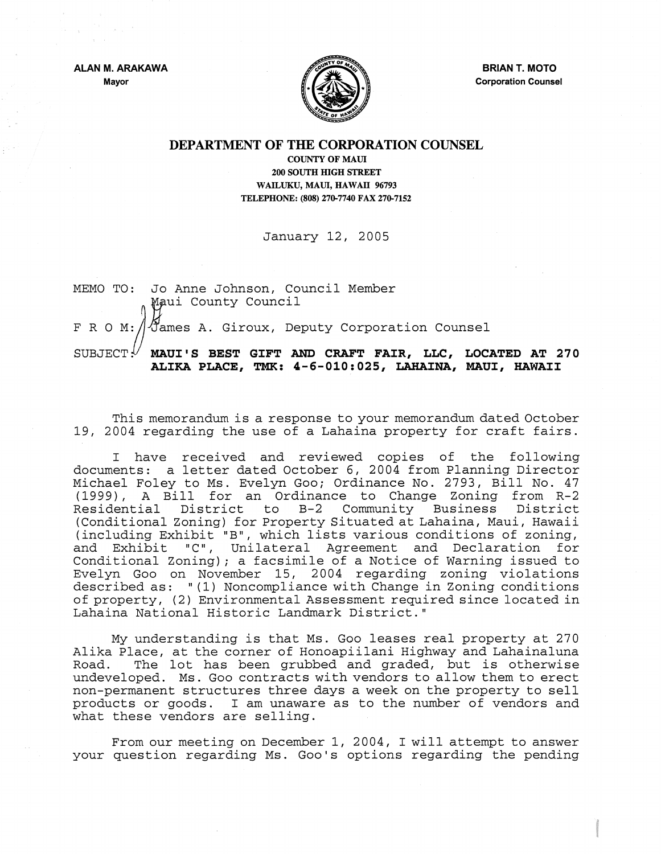ALAN M. ARAKAWA Mayor



BRIAN T. MOTO Corporation Counsel

## DEPARTMENT OF THE CORPORATION COUNSEL

COUNTY OF MAUl 200 SOUTH mGH STREET WAILUKU, MAUl, HAWAII 96793 TELEPHONE: (808) 270-7740 FAX 270-7152

January 12, 2005

MEMO TO: Jo Anne Johnson, Council Member Maui County Council F R O M:  $\beta$  ames A. Giroux, Deputy Corporation Counsel SUBJECT<sup>!</sup>/ MAUI'S BEST GIFT AND CRAFT FAIR, LLC, LOCATED AT 270 ALIKA PLACE, TMK: 4-6-010:025, LAHAINA, MAUI, HAWAII

This memorandum is a response to your memorandum dated October 19, 2004 regarding the use of a Lahaina property for craft fairs.

I have received and reviewed copies of the following documents: a letter dated October 6, 2004 from Planning Director Michael Foley to Ms. Evelyn Goo; Ordinance No. 2793, Bill No. 47 (1999), A Bill for an Ordinance to Change Zoning from R-2 Residential District to B-2 Community Business District (Conditional Zoning) for Property Situated at Lahaina, Maui, Hawaii (including Exhibit "B", which lists various conditions of zoning, and Exhibit *"C",* Unilateral Agreement and Declaration for Conditional Zoning); a facsimile of a Notice of Warning issued to Evelyn Goo on November 15, 2004 regarding zoning violations described as: "(1) Noncompliance with Change in Zoning conditions of property, (2) Environmental Assessment required since located in Lahaina National Historic Landmark District."

My understanding is that Ms. Goo leases real property at 270 Alika Place, at the corner of Honoapiilani Highway and Lahainaluna Road. The lot has been grubbed and graded, but is otherwise undeveloped. Ms. Goo contracts with vendors to allow them to erect non-permanent structures three days a week on the property to sell products or goods. I am unaware as to the number of vendors and what these vendors are selling.

From our meeting on December 1, 2004, I will attempt to answer your question regarding Ms. Goo's options regarding the pending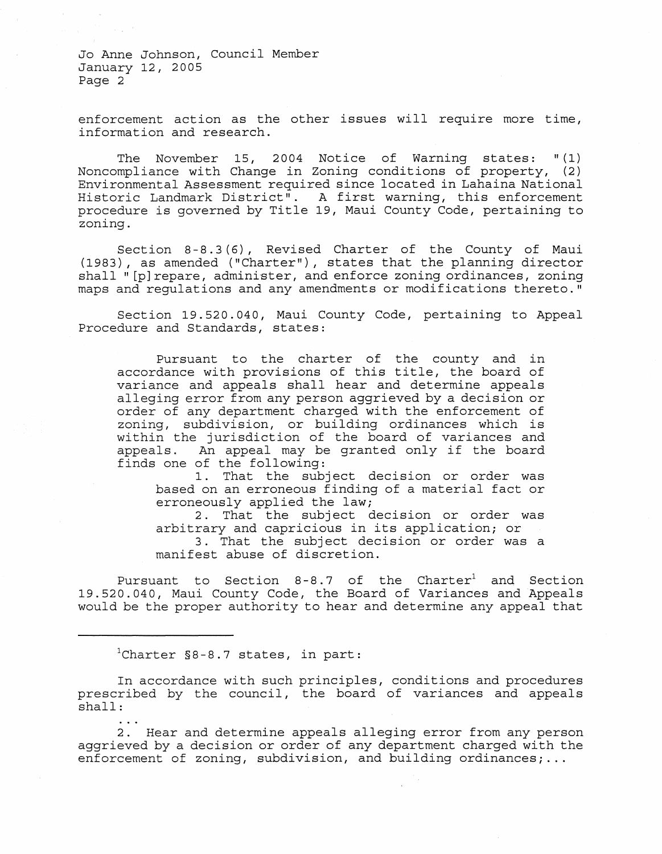Jo Anne Johnson, Council Member January 12, 2005 Page 2

enforcement action as the other issues will require more time, information and research.

The November 15, 2004 Notice of Warning states: "(1) Noncompliance with Change in Zoning conditions of property, (2) Environmental Assessment required since located in Lahaina National Historic Landmark District". A first warning, this enforcement procedure is governed by Title 19, Maui County Code, pertaining to zoning.

Section 8-8.3(6), Revised Charter of the County of Maui (1983), as amended ("Charter"), states that the planning director shall "[p] repare, administer, and enforce zoning ordinances, zoning maps and regulations and any amendments or modifications thereto."

Section 19.520.040, Maui County Code, pertaining to Appeal Procedure and Standards, states:

Pursuant to the charter of the county and in accordance with provisions of this title, the board of variance and appeals shall hear and determine appeals alleging error from any person aggrieved by a decision or order of any department charged with the enforcement of zoning, subdivision, or building ordinances which is within the jurisdiction of the board of variances and<br>appeals. An appeal may be granted only if the board An appeal may be granted only if the board finds one of the following:

1. That the subject decision or order was based on an erroneous finding of a material fact or erroneously applied the law;

2. That the subject decision or order was arbitrary and capricious in its application; or 3. That the subject decision or order was a manifest abuse of discretion.

Pursuant to Section  $8-8.7$  of the Charter<sup>1</sup> and Section 19.520.040, Maui County Code, the Board of Variances and Appeals would be the proper authority to hear and determine any appeal that

<sup>1</sup>Charter §8-8.7 states, in part:

In accordance with such principles, conditions and procedures prescribed by the council, the board of variances and appeals shall:

2. Hear and determine appeals alleging error from any person aggrieved by a decision or order of any department charged with the enforcement of zoning, subdivision, and building ordinances; ...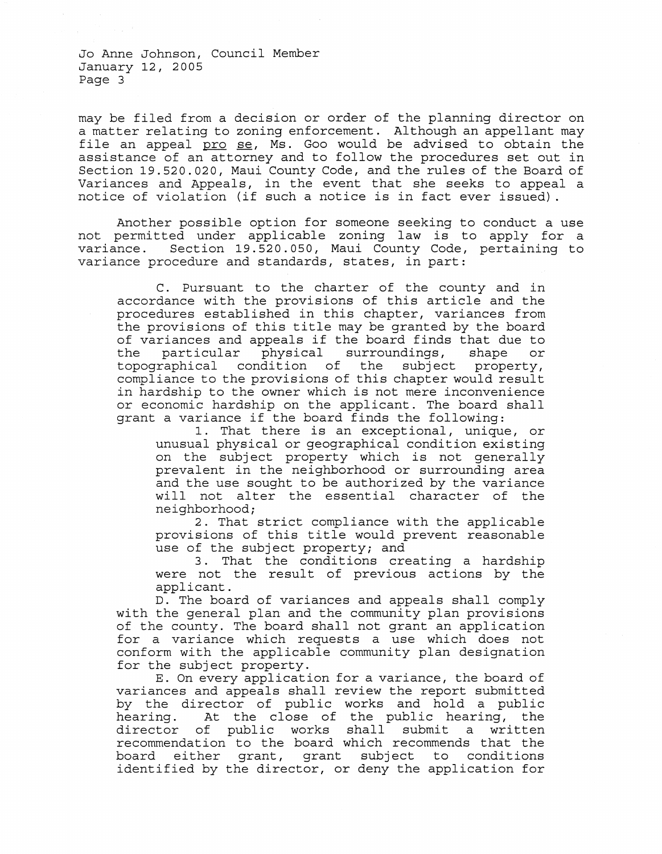Jo Anne Johnson, Council Member January 12, 2005 Page 3

may be filed from a decision or order of the planning director on a matter relating to zoning enforcement. Although an appellant may file an appeal pro se, Ms. Goo would be advised to obtain the assistance of an attorney and to follow the procedures set out in Section 19.520.020, Maui County Code, and the rules of the Board of Variances and Appeals, in the event that she seeks to appeal a notice of violation (if such a notice is in fact ever issued) .

Another possible option for someone seeking to conduct a use not permitted under applicable zoning law is to apply for a variance. Section *19.520.050 <sup>1</sup>*Maui County Code *1* pertaining to variance procedure and standards, states, in part:

C. Pursuant to the charter of the county and in accordance with the provisions of this article and the procedures established in this chapter, variances from the provisions of this title may be granted by the board of variances and appeals if the board finds that due to<br>the particular physical surroundings, shape or the particular physical surroundings, shape<br>topographical condition of the subject prope condition of the subject property, compliance to the provisions of this chapter would result in hardship to the owner which is not mere inconvenience or economic hardship on the applicant. The board shall grant a variance if the board finds the following:

1. That there is an exceptional, unique, or unusual physical or geographical condition existing on the subject property which is not generally prevalent in the neighborhood or surrounding area and the use sought to be authorized by the variance will not alter the essential character of the neighborhood;

2. That strict compliance with the applicable provisions of this title would prevent reasonable use of the subject property; and

3. That the conditions creating a hardship were not the result of previous actions by the applicant.

D. The board of variances and appeals shall comply with the general plan and the community plan provisions of the county. The board shall not grant an application for a variance which requests a use which does not conform with the applicable community plan designation for the subject property.

E. On every application for a variance, the board of variances and appeals shall review the report submitted by the director of public works and hold a public<br>hearing. At the close of the public hearing, the heaven the close of the public hearing, the<br>of public works shall submit a written director of public works shall submit recommendation to the board which recommends that the board either grant, grant subject to conditions identified by the director, or deny the application for